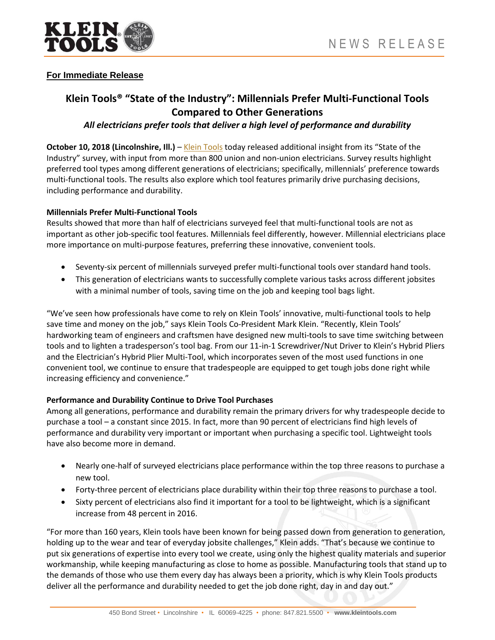

## **For Immediate Release**

# **Klein Tools® "State of the Industry": Millennials Prefer Multi-Functional Tools Compared to Other Generations**

## *All electricians prefer tools that deliver a high level of performance and durability*

**October 10, 2018 (Lincolnshire, Ill.)** – [Klein Tools](http://www.kleintools.com/) today released additional insight from its "State of the Industry" survey, with input from more than 800 union and non-union electricians. Survey results highlight preferred tool types among different generations of electricians; specifically, millennials' preference towards multi-functional tools. The results also explore which tool features primarily drive purchasing decisions, including performance and durability.

#### **Millennials Prefer Multi-Functional Tools**

Results showed that more than half of electricians surveyed feel that multi-functional tools are not as important as other job-specific tool features. Millennials feel differently, however. Millennial electricians place more importance on multi-purpose features, preferring these innovative, convenient tools.

- Seventy-six percent of millennials surveyed prefer multi-functional tools over standard hand tools.
- This generation of electricians wants to successfully complete various tasks across different jobsites with a minimal number of tools, saving time on the job and keeping tool bags light.

"We've seen how professionals have come to rely on Klein Tools' innovative, multi-functional tools to help save time and money on the job," says Klein Tools Co-President Mark Klein. "Recently, Klein Tools' hardworking team of engineers and craftsmen have designed new multi-tools to save time switching between tools and to lighten a tradesperson's tool bag. From our 11-in-1 Screwdriver/Nut Driver to Klein's Hybrid Pliers and the Electrician's Hybrid Plier Multi-Tool, which incorporates seven of the most used functions in one convenient tool, we continue to ensure that tradespeople are equipped to get tough jobs done right while increasing efficiency and convenience."

### **Performance and Durability Continue to Drive Tool Purchases**

Among all generations, performance and durability remain the primary drivers for why tradespeople decide to purchase a tool – a constant since 2015. In fact, more than 90 percent of electricians find high levels of performance and durability very important or important when purchasing a specific tool. Lightweight tools have also become more in demand.

- Nearly one-half of surveyed electricians place performance within the top three reasons to purchase a new tool.
- Forty-three percent of electricians place durability within their top three reasons to purchase a tool.
- Sixty percent of electricians also find it important for a tool to be lightweight, which is a significant increase from 48 percent in 2016.

"For more than 160 years, Klein tools have been known for being passed down from generation to generation, holding up to the wear and tear of everyday jobsite challenges," Klein adds. "That's because we continue to put six generations of expertise into every tool we create, using only the highest quality materials and superior workmanship, while keeping manufacturing as close to home as possible. Manufacturing tools that stand up to the demands of those who use them every day has always been a priority, which is why Klein Tools products deliver all the performance and durability needed to get the job done right, day in and day out."